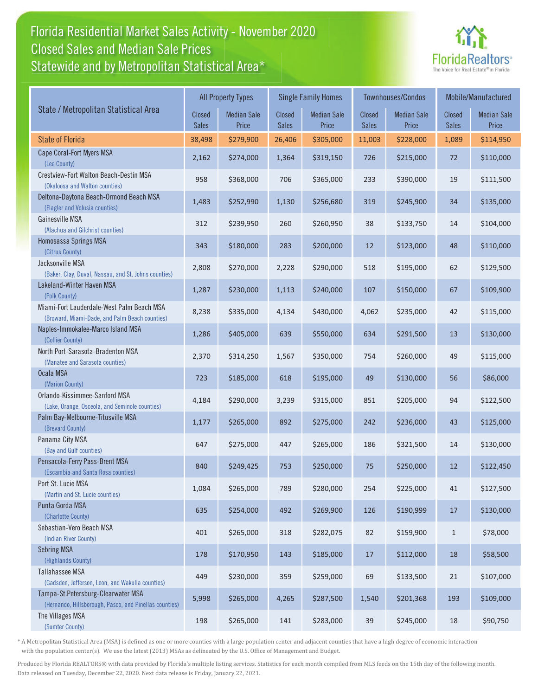## Florida Residential Market Sales Activity - November 2020 Statewide and by Metropolitan Statistical Area\* Statewide and by Metropolitan Statistica Closed Sales and Median Sale Prices



|                                                                                              | <b>All Property Types</b>     |                             |                        | <b>Single Family Homes</b>  |                               | <b>Townhouses/Condos</b>    | Mobile/Manufactured    |                             |
|----------------------------------------------------------------------------------------------|-------------------------------|-----------------------------|------------------------|-----------------------------|-------------------------------|-----------------------------|------------------------|-----------------------------|
| State / Metropolitan Statistical Area                                                        | <b>Closed</b><br><b>Sales</b> | <b>Median Sale</b><br>Price | Closed<br><b>Sales</b> | <b>Median Sale</b><br>Price | <b>Closed</b><br><b>Sales</b> | <b>Median Sale</b><br>Price | Closed<br><b>Sales</b> | <b>Median Sale</b><br>Price |
| <b>State of Florida</b>                                                                      | 38,498                        | \$279,900                   | 26,406                 | \$305,000                   | 11,003                        | \$228,000                   | 1,089                  | \$114,950                   |
| Cape Coral-Fort Myers MSA<br>(Lee County)                                                    | 2,162                         | \$274,000                   | 1,364                  | \$319,150                   | 726                           | \$215,000                   | 72                     | \$110,000                   |
| Crestview-Fort Walton Beach-Destin MSA<br>(Okaloosa and Walton counties)                     | 958                           | \$368,000                   | 706                    | \$365,000                   | 233                           | \$390,000                   | 19                     | \$111,500                   |
| Deltona-Daytona Beach-Ormond Beach MSA<br>(Flagler and Volusia counties)                     | 1,483                         | \$252,990                   | 1,130                  | \$256,680                   | 319                           | \$245,900                   | 34                     | \$135,000                   |
| Gainesville MSA<br>(Alachua and Gilchrist counties)                                          | 312                           | \$239,950                   | 260                    | \$260,950                   | 38                            | \$133,750                   | 14                     | \$104,000                   |
| Homosassa Springs MSA<br>(Citrus County)                                                     | 343                           | \$180,000                   | 283                    | \$200,000                   | 12                            | \$123,000                   | 48                     | \$110,000                   |
| Jacksonville MSA<br>(Baker, Clay, Duval, Nassau, and St. Johns counties)                     | 2,808                         | \$270,000                   | 2,228                  | \$290,000                   | 518                           | \$195,000                   | 62                     | \$129,500                   |
| Lakeland-Winter Haven MSA<br>(Polk County)                                                   | 1,287                         | \$230,000                   | 1,113                  | \$240,000                   | 107                           | \$150,000                   | 67                     | \$109,900                   |
| Miami-Fort Lauderdale-West Palm Beach MSA<br>(Broward, Miami-Dade, and Palm Beach counties)  | 8,238                         | \$335,000                   | 4,134                  | \$430,000                   | 4,062                         | \$235,000                   | 42                     | \$115,000                   |
| Naples-Immokalee-Marco Island MSA<br>(Collier County)                                        | 1,286                         | \$405,000                   | 639                    | \$550,000                   | 634                           | \$291,500                   | 13                     | \$130,000                   |
| North Port-Sarasota-Bradenton MSA<br>(Manatee and Sarasota counties)                         | 2,370                         | \$314,250                   | 1,567                  | \$350,000                   | 754                           | \$260,000                   | 49                     | \$115,000                   |
| Ocala MSA<br>(Marion County)                                                                 | 723                           | \$185,000                   | 618                    | \$195,000                   | 49                            | \$130,000                   | 56                     | \$86,000                    |
| Orlando-Kissimmee-Sanford MSA<br>(Lake, Orange, Osceola, and Seminole counties)              | 4,184                         | \$290,000                   | 3,239                  | \$315,000                   | 851                           | \$205,000                   | 94                     | \$122,500                   |
| Palm Bay-Melbourne-Titusville MSA<br>(Brevard County)                                        | 1,177                         | \$265,000                   | 892                    | \$275,000                   | 242                           | \$236,000                   | 43                     | \$125,000                   |
| Panama City MSA<br>(Bay and Gulf counties)                                                   | 647                           | \$275,000                   | 447                    | \$265,000                   | 186                           | \$321,500                   | 14                     | \$130,000                   |
| Pensacola-Ferry Pass-Brent MSA<br>(Escambia and Santa Rosa counties)                         | 840                           | \$249,425                   | 753                    | \$250,000                   | 75                            | \$250,000                   | 12                     | \$122,450                   |
| Port St. Lucie MSA<br>(Martin and St. Lucie counties)                                        | 1,084                         | \$265,000                   | 789                    | \$280,000                   | 254                           | \$225,000                   | 41                     | \$127,500                   |
| Punta Gorda MSA<br>(Charlotte County)                                                        | 635                           | \$254,000                   | 492                    | \$269,900                   | 126                           | \$190,999                   | 17                     | \$130,000                   |
| Sebastian-Vero Beach MSA<br>(Indian River County)                                            | 401                           | \$265,000                   | 318                    | \$282,075                   | 82                            | \$159,900                   | $\mathbf{1}$           | \$78,000                    |
| <b>Sebring MSA</b><br>(Highlands County)                                                     | 178                           | \$170,950                   | 143                    | \$185,000                   | 17                            | \$112,000                   | 18                     | \$58,500                    |
| <b>Tallahassee MSA</b><br>(Gadsden, Jefferson, Leon, and Wakulla counties)                   | 449                           | \$230,000                   | 359                    | \$259,000                   | 69                            | \$133,500                   | $21\,$                 | \$107,000                   |
| Tampa-St.Petersburg-Clearwater MSA<br>(Hernando, Hillsborough, Pasco, and Pinellas counties) | 5,998                         | \$265,000                   | 4,265                  | \$287,500                   | 1,540                         | \$201,368                   | 193                    | \$109,000                   |
| The Villages MSA<br>(Sumter County)                                                          | 198                           | \$265,000                   | 141                    | \$283,000                   | 39                            | \$245,000                   | 18                     | \$90,750                    |

\* A Metropolitan Statistical Area (MSA) is defined as one or more counties with a large population center and adjacent counties that have a high degree of economic interaction with the population center(s). We use the latest (2013) MSAs as delineated by the U.S. Office of Management and Budget.

Produced by Florida REALTORS® with data provided by Florida's multiple listing services. Statistics for each month compiled from MLS feeds on the 15th day of the following month. Data released on Tuesday, December 22, 2020. Next data release is Friday, January 22, 2021.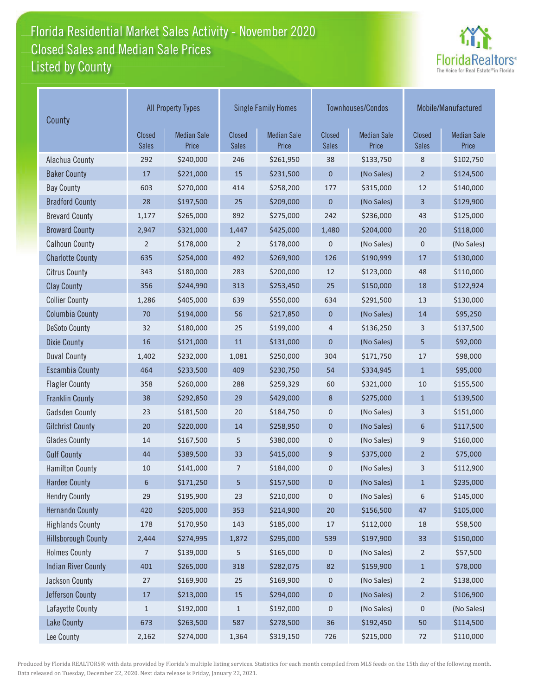## Florida Residential Market Sales Activity - November 2020 Listed by County **Closed Sales and Median Sale Prices**



| County                     | <b>All Property Types</b>     |                             |                        | <b>Single Family Homes</b>  |                        | Townhouses/Condos           | Mobile/Manufactured           |                             |
|----------------------------|-------------------------------|-----------------------------|------------------------|-----------------------------|------------------------|-----------------------------|-------------------------------|-----------------------------|
|                            | <b>Closed</b><br><b>Sales</b> | <b>Median Sale</b><br>Price | Closed<br><b>Sales</b> | <b>Median Sale</b><br>Price | Closed<br><b>Sales</b> | <b>Median Sale</b><br>Price | <b>Closed</b><br><b>Sales</b> | <b>Median Sale</b><br>Price |
| Alachua County             | 292                           | \$240,000                   | 246                    | \$261,950                   | 38                     | \$133,750                   | 8                             | \$102,750                   |
| <b>Baker County</b>        | 17                            | \$221,000                   | 15                     | \$231,500                   | 0                      | (No Sales)                  | $\overline{2}$                | \$124,500                   |
| <b>Bay County</b>          | 603                           | \$270,000                   | 414                    | \$258,200                   | 177                    | \$315,000                   | 12                            | \$140,000                   |
| <b>Bradford County</b>     | 28                            | \$197,500                   | 25                     | \$209,000                   | $\boldsymbol{0}$       | (No Sales)                  | 3                             | \$129,900                   |
| <b>Brevard County</b>      | 1,177                         | \$265,000                   | 892                    | \$275,000                   | 242                    | \$236,000                   | 43                            | \$125,000                   |
| <b>Broward County</b>      | 2,947                         | \$321,000                   | 1,447                  | \$425,000                   | 1,480                  | \$204,000                   | 20                            | \$118,000                   |
| <b>Calhoun County</b>      | $\overline{2}$                | \$178,000                   | 2                      | \$178,000                   | 0                      | (No Sales)                  | 0                             | (No Sales)                  |
| <b>Charlotte County</b>    | 635                           | \$254,000                   | 492                    | \$269,900                   | 126                    | \$190,999                   | 17                            | \$130,000                   |
| <b>Citrus County</b>       | 343                           | \$180,000                   | 283                    | \$200,000                   | 12                     | \$123,000                   | 48                            | \$110,000                   |
| <b>Clay County</b>         | 356                           | \$244,990                   | 313                    | \$253,450                   | 25                     | \$150,000                   | 18                            | \$122,924                   |
| <b>Collier County</b>      | 1,286                         | \$405,000                   | 639                    | \$550,000                   | 634                    | \$291,500                   | 13                            | \$130,000                   |
| <b>Columbia County</b>     | 70                            | \$194,000                   | 56                     | \$217,850                   | $\mathbf 0$            | (No Sales)                  | 14                            | \$95,250                    |
| <b>DeSoto County</b>       | 32                            | \$180,000                   | 25                     | \$199,000                   | 4                      | \$136,250                   | 3                             | \$137,500                   |
| <b>Dixie County</b>        | 16                            | \$121,000                   | 11                     | \$131,000                   | $\mathbf 0$            | (No Sales)                  | 5                             | \$92,000                    |
| <b>Duval County</b>        | 1,402                         | \$232,000                   | 1,081                  | \$250,000                   | 304                    | \$171,750                   | 17                            | \$98,000                    |
| <b>Escambia County</b>     | 464                           | \$233,500                   | 409                    | \$230,750                   | 54                     | \$334,945                   | $\mathbf{1}$                  | \$95,000                    |
| <b>Flagler County</b>      | 358                           | \$260,000                   | 288                    | \$259,329                   | 60                     | \$321,000                   | 10                            | \$155,500                   |
| <b>Franklin County</b>     | 38                            | \$292,850                   | 29                     | \$429,000                   | 8                      | \$275,000                   | $\mathbf{1}$                  | \$139,500                   |
| <b>Gadsden County</b>      | 23                            | \$181,500                   | 20                     | \$184,750                   | $\pmb{0}$              | (No Sales)                  | 3                             | \$151,000                   |
| <b>Gilchrist County</b>    | 20                            | \$220,000                   | 14                     | \$258,950                   | $\boldsymbol{0}$       | (No Sales)                  | 6                             | \$117,500                   |
| <b>Glades County</b>       | 14                            | \$167,500                   | 5                      | \$380,000                   | $\boldsymbol{0}$       | (No Sales)                  | 9                             | \$160,000                   |
| <b>Gulf County</b>         | 44                            | \$389,500                   | 33                     | \$415,000                   | $9$                    | \$375,000                   | $\overline{2}$                | \$75,000                    |
| <b>Hamilton County</b>     | 10                            | \$141,000                   | 7                      | \$184,000                   | 0                      | (No Sales)                  | 3                             | \$112,900                   |
| <b>Hardee County</b>       | 6                             | \$171,250                   | 5                      | \$157,500                   | $\mathbf 0$            | (No Sales)                  | $\mathbf{1}$                  | \$235,000                   |
| <b>Hendry County</b>       | 29                            | \$195,900                   | 23                     | \$210,000                   | 0                      | (No Sales)                  | 6                             | \$145,000                   |
| <b>Hernando County</b>     | 420                           | \$205,000                   | 353                    | \$214,900                   | 20                     | \$156,500                   | 47                            | \$105,000                   |
| <b>Highlands County</b>    | 178                           | \$170,950                   | 143                    | \$185,000                   | 17                     | \$112,000                   | 18                            | \$58,500                    |
| Hillsborough County        | 2,444                         | \$274,995                   | 1,872                  | \$295,000                   | 539                    | \$197,900                   | 33                            | \$150,000                   |
| <b>Holmes County</b>       | 7                             | \$139,000                   | 5                      | \$165,000                   | 0                      | (No Sales)                  | $\overline{2}$                | \$57,500                    |
| <b>Indian River County</b> | 401                           | \$265,000                   | 318                    | \$282,075                   | 82                     | \$159,900                   | $\,1\,$                       | \$78,000                    |
| Jackson County             | $27$                          | \$169,900                   | $25\,$                 | \$169,900                   | 0                      | (No Sales)                  | $\overline{2}$                | \$138,000                   |
| Jefferson County           | $17\,$                        | \$213,000                   | 15                     | \$294,000                   | 0                      | (No Sales)                  | $\sqrt{2}$                    | \$106,900                   |
| Lafayette County           | $\mathbf{1}$                  | \$192,000                   | $\mathbf{1}$           | \$192,000                   | 0                      | (No Sales)                  | 0                             | (No Sales)                  |
| <b>Lake County</b>         | 673                           | \$263,500                   | 587                    | \$278,500                   | 36                     | \$192,450                   | 50                            | \$114,500                   |
| Lee County                 | 2,162                         | \$274,000                   | 1,364                  | \$319,150                   | 726                    | \$215,000                   | 72                            | \$110,000                   |

Produced by Florida REALTORS® with data provided by Florida's multiple listing services. Statistics for each month compiled from MLS feeds on the 15th day of the following month. Data released on Tuesday, December 22, 2020. Next data release is Friday, January 22, 2021.